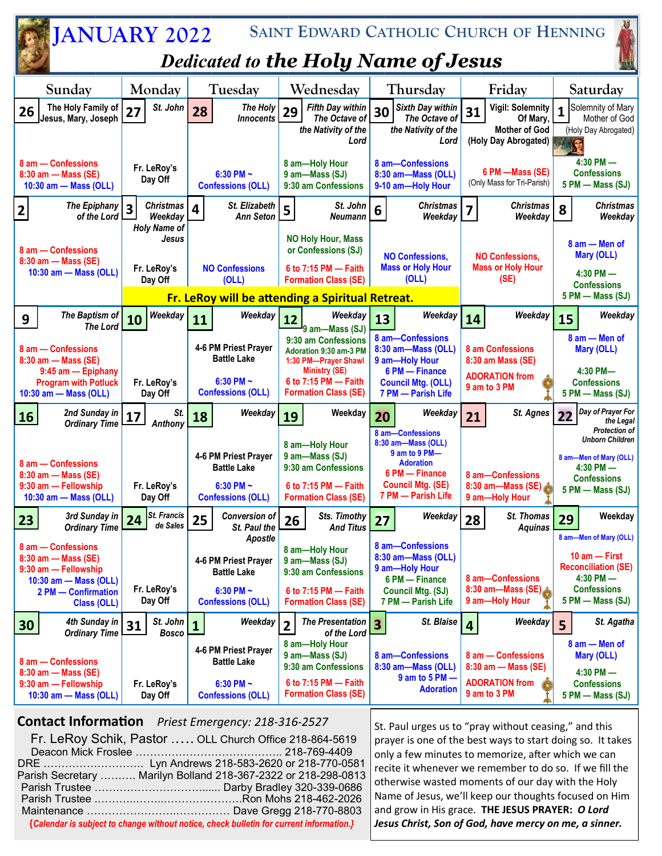

## **Contact Information** *Priest Emergency: 218-316-2527*

Fr. LeRoy Schik, Pastor .…. OLL Church Office 218-864-5619 Deacon Mick Froslee ………………………………….. 218-769-4409 DRE ………………………. Lyn Andrews 218-583-2620 or 218-770-0581 Parish Secretary ………. Marilyn Bolland 218-367-2322 or 218-298-0813 Parish Trustee …………………………...... Darby Bradley 320-339-0686 Parish Trustee .………..……..………………….Ron Mohs 218-462-2026 Maintenance …………………….…………… Dave Gregg 218-770-8803 **{***Calendar is subject to change without notice, check bulletin for current information.}*

St. Paul urges us to "pray without ceasing," and this prayer is one of the best ways to start doing so. It takes only a few minutes to memorize, after which we can recite it whenever we remember to do so. If we fill the otherwise wasted moments of our day with the Holy Name of Jesus, we'll keep our thoughts focused on Him and grow in His grace. **THE JESUS PRAYER:** *O Lord Jesus Christ, Son of God, have mercy on me, a sinner.*